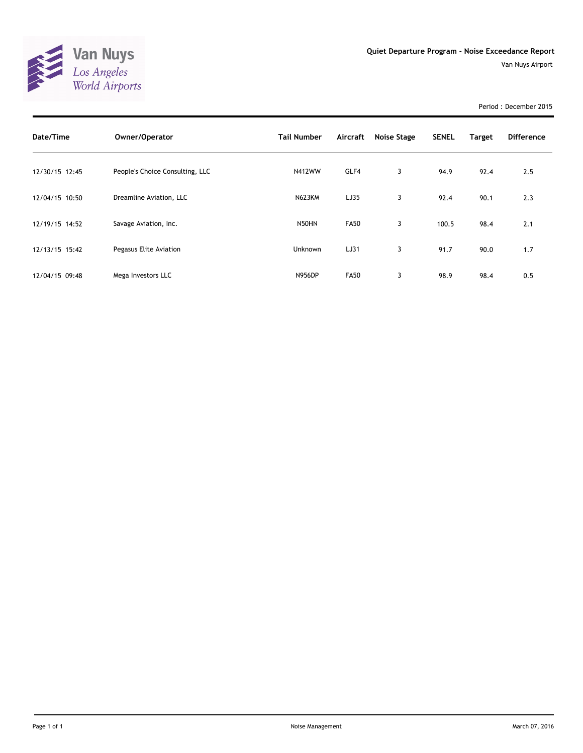

Period : December 2015

| Date/Time      | Owner/Operator                  | <b>Tail Number</b> | Aircraft    | <b>Noise Stage</b> | <b>SENEL</b> | Target | <b>Difference</b> |
|----------------|---------------------------------|--------------------|-------------|--------------------|--------------|--------|-------------------|
| 12/30/15 12:45 | People's Choice Consulting, LLC | <b>N412WW</b>      | GLF4        | 3                  | 94.9         | 92.4   | 2.5               |
| 12/04/15 10:50 | Dreamline Aviation, LLC         | <b>N623KM</b>      | LJ35        | 3                  | 92.4         | 90.1   | 2.3               |
| 12/19/15 14:52 | Savage Aviation, Inc.           | N50HN              | <b>FA50</b> | 3                  | 100.5        | 98.4   | 2.1               |
| 12/13/15 15:42 | Pegasus Elite Aviation          | Unknown            | LJ31        | 3                  | 91.7         | 90.0   | 1.7               |
| 12/04/15 09:48 | Mega Investors LLC              | <b>N956DP</b>      | <b>FA50</b> | 3                  | 98.9         | 98.4   | 0.5               |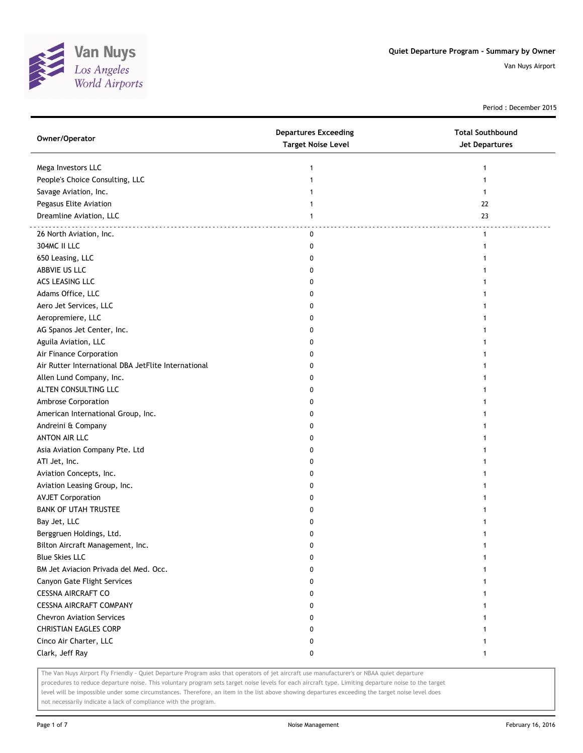

Period : December 2015

| Owner/Operator                                      | <b>Departures Exceeding</b><br><b>Target Noise Level</b> | <b>Total Southbound</b><br>Jet Departures |
|-----------------------------------------------------|----------------------------------------------------------|-------------------------------------------|
| Mega Investors LLC                                  | 1                                                        | 1                                         |
| People's Choice Consulting, LLC                     | 1                                                        |                                           |
| Savage Aviation, Inc.                               |                                                          |                                           |
| Pegasus Elite Aviation                              |                                                          | 22                                        |
| Dreamline Aviation, LLC                             | 1                                                        | 23                                        |
| 26 North Aviation, Inc.                             | 0                                                        | $\mathbf{1}$                              |
| 304MC II LLC                                        | 0                                                        | 1                                         |
| 650 Leasing, LLC                                    | 0                                                        |                                           |
| ABBVIE US LLC                                       | 0                                                        |                                           |
| ACS LEASING LLC                                     | 0                                                        |                                           |
| Adams Office, LLC                                   | 0                                                        |                                           |
| Aero Jet Services, LLC                              | 0                                                        |                                           |
| Aeropremiere, LLC                                   | 0                                                        |                                           |
| AG Spanos Jet Center, Inc.                          | 0                                                        |                                           |
| Aguila Aviation, LLC                                | 0                                                        |                                           |
| Air Finance Corporation                             | 0                                                        |                                           |
| Air Rutter International DBA JetFlite International | 0                                                        |                                           |
| Allen Lund Company, Inc.                            | 0                                                        |                                           |
| ALTEN CONSULTING LLC                                | 0                                                        |                                           |
| Ambrose Corporation                                 | 0                                                        |                                           |
| American International Group, Inc.                  | 0                                                        |                                           |
| Andreini & Company                                  | 0                                                        |                                           |
| ANTON AIR LLC                                       | 0                                                        |                                           |
| Asia Aviation Company Pte. Ltd                      | 0                                                        |                                           |
| ATI Jet, Inc.                                       | 0                                                        |                                           |
| Aviation Concepts, Inc.                             | 0                                                        |                                           |
| Aviation Leasing Group, Inc.                        | 0                                                        |                                           |
| <b>AVJET Corporation</b>                            | 0                                                        |                                           |
| <b>BANK OF UTAH TRUSTEE</b>                         | 0                                                        |                                           |
| Bay Jet, LLC                                        | 0                                                        |                                           |
| Berggruen Holdings, Ltd.                            | 0                                                        |                                           |
| Bilton Aircraft Management, Inc.                    | 0                                                        |                                           |
| <b>Blue Skies LLC</b>                               | 0                                                        | 1                                         |
| BM Jet Aviacion Privada del Med. Occ.               | 0                                                        |                                           |
| Canyon Gate Flight Services                         | 0                                                        |                                           |
| <b>CESSNA AIRCRAFT CO</b>                           | 0                                                        | 1                                         |
| <b>CESSNA AIRCRAFT COMPANY</b>                      | 0                                                        | 1                                         |
| <b>Chevron Aviation Services</b>                    | 0                                                        |                                           |
| <b>CHRISTIAN EAGLES CORP</b>                        | 0                                                        |                                           |
| Cinco Air Charter, LLC                              | 0                                                        |                                           |
| Clark, Jeff Ray                                     | 0                                                        | 1                                         |

The Van Nuys Airport Fly Friendly - Quiet Departure Program asks that operators of jet aircraft use manufacturer's or NBAA quiet departure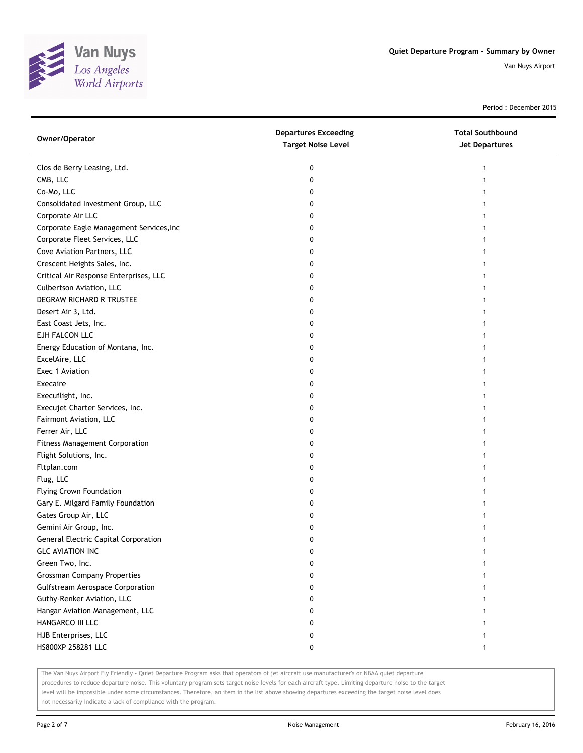

Period : December 2015

| Owner/Operator                           | <b>Departures Exceeding</b><br><b>Target Noise Level</b> | <b>Total Southbound</b><br>Jet Departures |
|------------------------------------------|----------------------------------------------------------|-------------------------------------------|
| Clos de Berry Leasing, Ltd.              | 0                                                        |                                           |
| CMB, LLC                                 | 0                                                        |                                           |
| Co-Mo, LLC                               | 0                                                        |                                           |
| Consolidated Investment Group, LLC       | 0                                                        |                                           |
| Corporate Air LLC                        | 0                                                        |                                           |
| Corporate Eagle Management Services, Inc | 0                                                        |                                           |
| Corporate Fleet Services, LLC            | 0                                                        |                                           |
| Cove Aviation Partners, LLC              | 0                                                        |                                           |
| Crescent Heights Sales, Inc.             | 0                                                        |                                           |
| Critical Air Response Enterprises, LLC   | 0                                                        |                                           |
| Culbertson Aviation, LLC                 | 0                                                        |                                           |
| DEGRAW RICHARD R TRUSTEE                 | 0                                                        |                                           |
| Desert Air 3, Ltd.                       | 0                                                        |                                           |
| East Coast Jets, Inc.                    | 0                                                        |                                           |
| EJH FALCON LLC                           | 0                                                        |                                           |
| Energy Education of Montana, Inc.        | 0                                                        |                                           |
| ExcelAire, LLC                           | 0                                                        |                                           |
| Exec 1 Aviation                          | 0                                                        |                                           |
| Execaire                                 | 0                                                        |                                           |
| Execuflight, Inc.                        | 0                                                        |                                           |
| Execujet Charter Services, Inc.          | 0                                                        |                                           |
| Fairmont Aviation, LLC                   | 0                                                        |                                           |
| Ferrer Air, LLC                          | 0                                                        |                                           |
| <b>Fitness Management Corporation</b>    | 0                                                        |                                           |
| Flight Solutions, Inc.                   | 0                                                        |                                           |
| Fltplan.com                              | 0                                                        |                                           |
| Flug, LLC                                | 0                                                        |                                           |
| <b>Flying Crown Foundation</b>           | 0                                                        |                                           |
| Gary E. Milgard Family Foundation        | 0                                                        |                                           |
| Gates Group Air, LLC                     | 0                                                        |                                           |
| Gemini Air Group, Inc.                   | 0                                                        |                                           |
| General Electric Capital Corporation     | 0                                                        |                                           |
| <b>GLC AVIATION INC</b>                  | 0                                                        |                                           |
| Green Two, Inc.                          | 0                                                        |                                           |
| <b>Grossman Company Properties</b>       | 0                                                        |                                           |
| <b>Gulfstream Aerospace Corporation</b>  | 0                                                        |                                           |
| Guthy-Renker Aviation, LLC               | 0                                                        |                                           |
| Hangar Aviation Management, LLC          | 0                                                        |                                           |
| HANGARCO III LLC                         | 0                                                        |                                           |
| HJB Enterprises, LLC                     | 0                                                        |                                           |
| HS800XP 258281 LLC                       | 0                                                        |                                           |

The Van Nuys Airport Fly Friendly - Quiet Departure Program asks that operators of jet aircraft use manufacturer's or NBAA quiet departure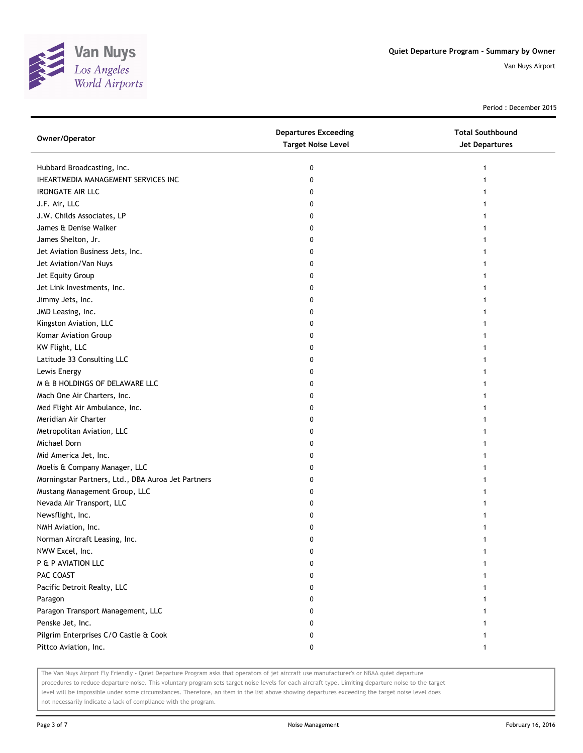

Period : December 2015

| Owner/Operator                                     | <b>Departures Exceeding</b><br><b>Target Noise Level</b> | <b>Total Southbound</b><br><b>Jet Departures</b> |
|----------------------------------------------------|----------------------------------------------------------|--------------------------------------------------|
| Hubbard Broadcasting, Inc.                         | 0                                                        |                                                  |
| IHEARTMEDIA MANAGEMENT SERVICES INC                | 0                                                        |                                                  |
| <b>IRONGATE AIR LLC</b>                            | 0                                                        |                                                  |
| J.F. Air, LLC                                      | 0                                                        |                                                  |
| J.W. Childs Associates, LP                         | 0                                                        |                                                  |
| James & Denise Walker                              | 0                                                        |                                                  |
| James Shelton, Jr.                                 | 0                                                        |                                                  |
| Jet Aviation Business Jets, Inc.                   | 0                                                        |                                                  |
| Jet Aviation/Van Nuys                              | 0                                                        |                                                  |
| Jet Equity Group                                   | 0                                                        |                                                  |
| Jet Link Investments, Inc.                         | 0                                                        |                                                  |
| Jimmy Jets, Inc.                                   | 0                                                        |                                                  |
| JMD Leasing, Inc.                                  | 0                                                        |                                                  |
| Kingston Aviation, LLC                             | 0                                                        |                                                  |
| Komar Aviation Group                               | 0                                                        |                                                  |
| KW Flight, LLC                                     | 0                                                        |                                                  |
| Latitude 33 Consulting LLC                         | 0                                                        |                                                  |
| Lewis Energy                                       | 0                                                        |                                                  |
| M & B HOLDINGS OF DELAWARE LLC                     | 0                                                        |                                                  |
| Mach One Air Charters, Inc.                        | 0                                                        |                                                  |
| Med Flight Air Ambulance, Inc.                     | 0                                                        |                                                  |
| Meridian Air Charter                               | 0                                                        |                                                  |
| Metropolitan Aviation, LLC                         | 0                                                        |                                                  |
| Michael Dorn                                       | 0                                                        |                                                  |
| Mid America Jet, Inc.                              | 0                                                        |                                                  |
| Moelis & Company Manager, LLC                      | 0                                                        |                                                  |
| Morningstar Partners, Ltd., DBA Auroa Jet Partners | 0                                                        |                                                  |
| Mustang Management Group, LLC                      | 0                                                        |                                                  |
| Nevada Air Transport, LLC                          | 0                                                        |                                                  |
| Newsflight, Inc.                                   | 0                                                        |                                                  |
| NMH Aviation, Inc.                                 | 0                                                        |                                                  |
| Norman Aircraft Leasing, Inc.                      | 0                                                        |                                                  |
| NWW Excel, Inc.                                    | o                                                        |                                                  |
| P & P AVIATION LLC                                 | 0                                                        |                                                  |
| PAC COAST                                          | 0                                                        |                                                  |
| Pacific Detroit Realty, LLC                        | 0                                                        |                                                  |
| Paragon                                            | 0                                                        |                                                  |
| Paragon Transport Management, LLC                  | 0                                                        |                                                  |
| Penske Jet, Inc.                                   | 0                                                        |                                                  |
| Pilgrim Enterprises C/O Castle & Cook              | 0                                                        |                                                  |
| Pittco Aviation, Inc.                              | 0                                                        |                                                  |

The Van Nuys Airport Fly Friendly - Quiet Departure Program asks that operators of jet aircraft use manufacturer's or NBAA quiet departure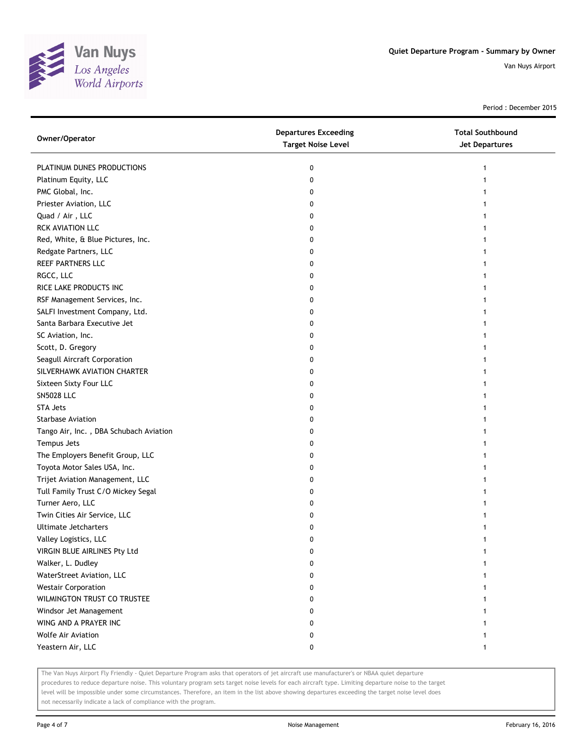

Period : December 2015

| PLATINUM DUNES PRODUCTIONS<br>0<br>1<br>Platinum Equity, LLC<br>0<br>PMC Global, Inc.<br>0<br>Priester Aviation, LLC<br>0<br>Quad / Air, LLC<br>0<br><b>RCK AVIATION LLC</b><br>0<br>Red, White, & Blue Pictures, Inc.<br>0<br>Redgate Partners, LLC<br>0<br>REEF PARTNERS LLC<br>0<br>RGCC, LLC<br>0<br>RICE LAKE PRODUCTS INC<br>0<br>RSF Management Services, Inc.<br>0<br>SALFI Investment Company, Ltd.<br>0<br>Santa Barbara Executive Jet<br>0<br>SC Aviation, Inc.<br>0<br>Scott, D. Gregory<br>0<br>Seagull Aircraft Corporation<br>0<br>SILVERHAWK AVIATION CHARTER<br>0<br>Sixteen Sixty Four LLC<br>0<br><b>SN5028 LLC</b><br>0<br><b>STA Jets</b><br>0 |
|---------------------------------------------------------------------------------------------------------------------------------------------------------------------------------------------------------------------------------------------------------------------------------------------------------------------------------------------------------------------------------------------------------------------------------------------------------------------------------------------------------------------------------------------------------------------------------------------------------------------------------------------------------------------|
|                                                                                                                                                                                                                                                                                                                                                                                                                                                                                                                                                                                                                                                                     |
|                                                                                                                                                                                                                                                                                                                                                                                                                                                                                                                                                                                                                                                                     |
|                                                                                                                                                                                                                                                                                                                                                                                                                                                                                                                                                                                                                                                                     |
|                                                                                                                                                                                                                                                                                                                                                                                                                                                                                                                                                                                                                                                                     |
|                                                                                                                                                                                                                                                                                                                                                                                                                                                                                                                                                                                                                                                                     |
|                                                                                                                                                                                                                                                                                                                                                                                                                                                                                                                                                                                                                                                                     |
|                                                                                                                                                                                                                                                                                                                                                                                                                                                                                                                                                                                                                                                                     |
|                                                                                                                                                                                                                                                                                                                                                                                                                                                                                                                                                                                                                                                                     |
|                                                                                                                                                                                                                                                                                                                                                                                                                                                                                                                                                                                                                                                                     |
|                                                                                                                                                                                                                                                                                                                                                                                                                                                                                                                                                                                                                                                                     |
|                                                                                                                                                                                                                                                                                                                                                                                                                                                                                                                                                                                                                                                                     |
|                                                                                                                                                                                                                                                                                                                                                                                                                                                                                                                                                                                                                                                                     |
|                                                                                                                                                                                                                                                                                                                                                                                                                                                                                                                                                                                                                                                                     |
|                                                                                                                                                                                                                                                                                                                                                                                                                                                                                                                                                                                                                                                                     |
|                                                                                                                                                                                                                                                                                                                                                                                                                                                                                                                                                                                                                                                                     |
|                                                                                                                                                                                                                                                                                                                                                                                                                                                                                                                                                                                                                                                                     |
|                                                                                                                                                                                                                                                                                                                                                                                                                                                                                                                                                                                                                                                                     |
|                                                                                                                                                                                                                                                                                                                                                                                                                                                                                                                                                                                                                                                                     |
|                                                                                                                                                                                                                                                                                                                                                                                                                                                                                                                                                                                                                                                                     |
|                                                                                                                                                                                                                                                                                                                                                                                                                                                                                                                                                                                                                                                                     |
|                                                                                                                                                                                                                                                                                                                                                                                                                                                                                                                                                                                                                                                                     |
| <b>Starbase Aviation</b><br>0                                                                                                                                                                                                                                                                                                                                                                                                                                                                                                                                                                                                                                       |
| Tango Air, Inc., DBA Schubach Aviation<br>0                                                                                                                                                                                                                                                                                                                                                                                                                                                                                                                                                                                                                         |
| Tempus Jets<br>0                                                                                                                                                                                                                                                                                                                                                                                                                                                                                                                                                                                                                                                    |
| The Employers Benefit Group, LLC<br>0                                                                                                                                                                                                                                                                                                                                                                                                                                                                                                                                                                                                                               |
| Toyota Motor Sales USA, Inc.<br>0                                                                                                                                                                                                                                                                                                                                                                                                                                                                                                                                                                                                                                   |
| Trijet Aviation Management, LLC<br>0                                                                                                                                                                                                                                                                                                                                                                                                                                                                                                                                                                                                                                |
| Tull Family Trust C/O Mickey Segal<br>0                                                                                                                                                                                                                                                                                                                                                                                                                                                                                                                                                                                                                             |
| Turner Aero, LLC<br>0                                                                                                                                                                                                                                                                                                                                                                                                                                                                                                                                                                                                                                               |
| Twin Cities Air Service, LLC<br>0                                                                                                                                                                                                                                                                                                                                                                                                                                                                                                                                                                                                                                   |
| Ultimate Jetcharters<br>0                                                                                                                                                                                                                                                                                                                                                                                                                                                                                                                                                                                                                                           |
| Valley Logistics, LLC<br>0                                                                                                                                                                                                                                                                                                                                                                                                                                                                                                                                                                                                                                          |
| VIRGIN BLUE AIRLINES Pty Ltd<br>0                                                                                                                                                                                                                                                                                                                                                                                                                                                                                                                                                                                                                                   |
| Walker, L. Dudley<br>0                                                                                                                                                                                                                                                                                                                                                                                                                                                                                                                                                                                                                                              |
| WaterStreet Aviation, LLC<br>0                                                                                                                                                                                                                                                                                                                                                                                                                                                                                                                                                                                                                                      |
| <b>Westair Corporation</b><br>0                                                                                                                                                                                                                                                                                                                                                                                                                                                                                                                                                                                                                                     |
| WILMINGTON TRUST CO TRUSTEE<br>0                                                                                                                                                                                                                                                                                                                                                                                                                                                                                                                                                                                                                                    |
| Windsor Jet Management<br>0                                                                                                                                                                                                                                                                                                                                                                                                                                                                                                                                                                                                                                         |
| WING AND A PRAYER INC<br>0                                                                                                                                                                                                                                                                                                                                                                                                                                                                                                                                                                                                                                          |
| Wolfe Air Aviation<br>0                                                                                                                                                                                                                                                                                                                                                                                                                                                                                                                                                                                                                                             |
| Yeastern Air, LLC<br>0                                                                                                                                                                                                                                                                                                                                                                                                                                                                                                                                                                                                                                              |

The Van Nuys Airport Fly Friendly - Quiet Departure Program asks that operators of jet aircraft use manufacturer's or NBAA quiet departure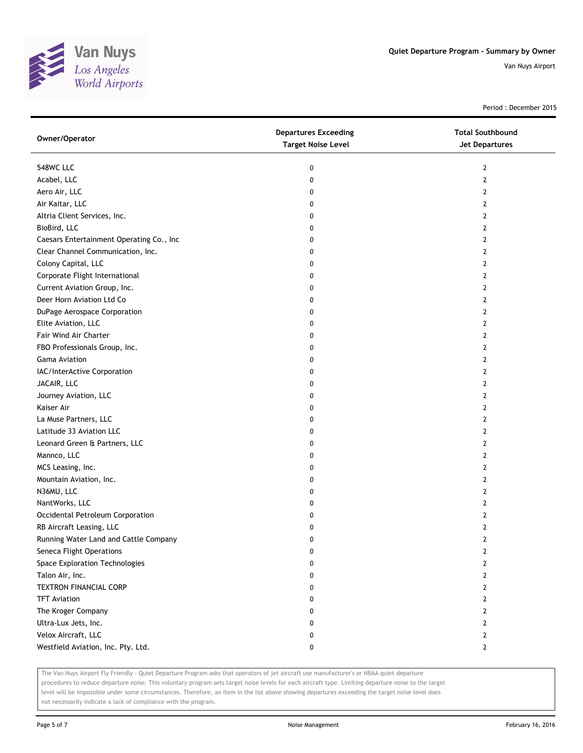

Period : December 2015

| Owner/Operator                           | <b>Departures Exceeding</b><br><b>Target Noise Level</b> | <b>Total Southbound</b><br>Jet Departures |
|------------------------------------------|----------------------------------------------------------|-------------------------------------------|
| 548WC LLC                                | 0                                                        | $\overline{2}$                            |
| Acabel, LLC                              | 0                                                        | $\overline{2}$                            |
| Aero Air, LLC                            | 0                                                        | $\overline{2}$                            |
| Air Kaitar, LLC                          | 0                                                        | $\overline{2}$                            |
| Altria Client Services, Inc.             | 0                                                        | $\overline{2}$                            |
| BioBird, LLC                             | 0                                                        | $\overline{2}$                            |
| Caesars Entertainment Operating Co., Inc | 0                                                        | 2                                         |
| Clear Channel Communication, Inc.        | 0                                                        | 2                                         |
| Colony Capital, LLC                      | 0                                                        | 2                                         |
| Corporate Flight International           | 0                                                        | 2                                         |
| Current Aviation Group, Inc.             | 0                                                        | 2                                         |
| Deer Horn Aviation Ltd Co                | 0                                                        | 2                                         |
| DuPage Aerospace Corporation             | 0                                                        | 2                                         |
| Elite Aviation, LLC                      | 0                                                        | 2                                         |
| Fair Wind Air Charter                    | 0                                                        | 2                                         |
| FBO Professionals Group, Inc.            | 0                                                        | $\overline{2}$                            |
| <b>Gama Aviation</b>                     | 0                                                        | 2                                         |
| IAC/InterActive Corporation              | 0                                                        | 2                                         |
| JACAIR, LLC                              | 0                                                        | $\overline{2}$                            |
| Journey Aviation, LLC                    | 0                                                        | $\overline{2}$                            |
| Kaiser Air                               | 0                                                        | $\overline{2}$                            |
| La Muse Partners, LLC                    | 0                                                        | 2                                         |
| Latitude 33 Aviation LLC                 | 0                                                        | $\overline{2}$                            |
| Leonard Green & Partners, LLC            | 0                                                        | 2                                         |
| Mannco, LLC                              | 0                                                        | 2                                         |
| MCS Leasing, Inc.                        | 0                                                        | $\overline{2}$                            |
| Mountain Aviation, Inc.                  | 0                                                        | 2                                         |
| N36MU, LLC                               | 0                                                        | 2                                         |
| NantWorks, LLC                           | 0                                                        | 2                                         |
| Occidental Petroleum Corporation         | 0                                                        | 2                                         |
| RB Aircraft Leasing, LLC                 | 0                                                        | $\overline{2}$                            |
| Running Water Land and Cattle Company    | 0                                                        | 2                                         |
| Seneca Flight Operations                 | 0                                                        | 2                                         |
| Space Exploration Technologies           | 0                                                        | $\overline{2}$                            |
| Talon Air, Inc.                          | 0                                                        | $\overline{2}$                            |
| <b>TEXTRON FINANCIAL CORP</b>            | 0                                                        | $\mathbf{2}$                              |
| <b>TFT Aviation</b>                      | 0                                                        | $\mathbf{2}$                              |
| The Kroger Company                       | 0                                                        | 2                                         |
| Ultra-Lux Jets, Inc.                     | 0                                                        | 2                                         |
| Velox Aircraft, LLC                      | 0                                                        | $\mathbf{2}$                              |
| Westfield Aviation, Inc. Pty. Ltd.       | 0                                                        | $\mathbf{2}$                              |

The Van Nuys Airport Fly Friendly - Quiet Departure Program asks that operators of jet aircraft use manufacturer's or NBAA quiet departure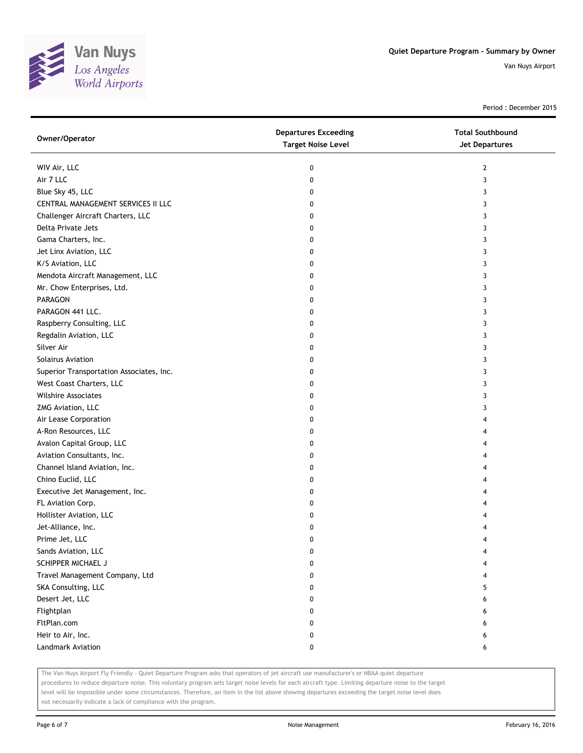

Period : December 2015

| Owner/Operator                           | <b>Departures Exceeding</b><br><b>Target Noise Level</b> | <b>Total Southbound</b><br>Jet Departures |
|------------------------------------------|----------------------------------------------------------|-------------------------------------------|
| WIV Air, LLC                             | 0                                                        | $\overline{2}$                            |
| Air 7 LLC                                | 0                                                        | 3                                         |
| Blue Sky 45, LLC                         | 0                                                        | 3                                         |
| CENTRAL MANAGEMENT SERVICES II LLC       | 0                                                        | 3                                         |
| Challenger Aircraft Charters, LLC        | 0                                                        | 3                                         |
| Delta Private Jets                       | 0                                                        | 3                                         |
| Gama Charters, Inc.                      | 0                                                        | 3                                         |
| Jet Linx Aviation, LLC                   | 0                                                        | 3                                         |
| K/S Aviation, LLC                        | 0                                                        | 3                                         |
| Mendota Aircraft Management, LLC         | 0                                                        | 3                                         |
| Mr. Chow Enterprises, Ltd.               | 0                                                        | 3                                         |
| PARAGON                                  | 0                                                        | 3                                         |
| PARAGON 441 LLC.                         | 0                                                        | 3                                         |
| Raspberry Consulting, LLC                | 0                                                        | 3                                         |
| Regdalin Aviation, LLC                   | 0                                                        | 3                                         |
| Silver Air                               | 0                                                        | 3                                         |
| Solairus Aviation                        | 0                                                        | 3                                         |
| Superior Transportation Associates, Inc. | 0                                                        | 3                                         |
| West Coast Charters, LLC                 | 0                                                        | 3                                         |
| <b>Wilshire Associates</b>               | 0                                                        | 3                                         |
| ZMG Aviation, LLC                        | 0                                                        | 3                                         |
| Air Lease Corporation                    | 0                                                        | 4                                         |
| A-Ron Resources, LLC                     | 0                                                        | 4                                         |
| Avalon Capital Group, LLC                | 0                                                        | 4                                         |
| Aviation Consultants, Inc.               | 0                                                        | 4                                         |
| Channel Island Aviation, Inc.            | 0                                                        | 4                                         |
| Chino Euclid, LLC                        | 0                                                        | 4                                         |
| Executive Jet Management, Inc.           | 0                                                        | 4                                         |
| FL Aviation Corp.                        | 0                                                        | 4                                         |
| Hollister Aviation, LLC                  | 0                                                        | 4                                         |
| Jet-Alliance, Inc.                       | 0                                                        | 4                                         |
| Prime Jet, LLC                           | 0                                                        | 4                                         |
| Sands Aviation, LLC                      | 0                                                        |                                           |
| SCHIPPER MICHAEL J                       | 0                                                        |                                           |
| Travel Management Company, Ltd           | 0                                                        |                                           |
| SKA Consulting, LLC                      | 0                                                        | 5                                         |
| Desert Jet, LLC                          | 0                                                        | 6                                         |
| Flightplan                               | 0                                                        | 6                                         |
| FltPlan.com                              | 0                                                        | 6                                         |
| Heir to Air, Inc.                        | 0                                                        | 6                                         |
| Landmark Aviation                        | 0                                                        | 6                                         |

The Van Nuys Airport Fly Friendly - Quiet Departure Program asks that operators of jet aircraft use manufacturer's or NBAA quiet departure